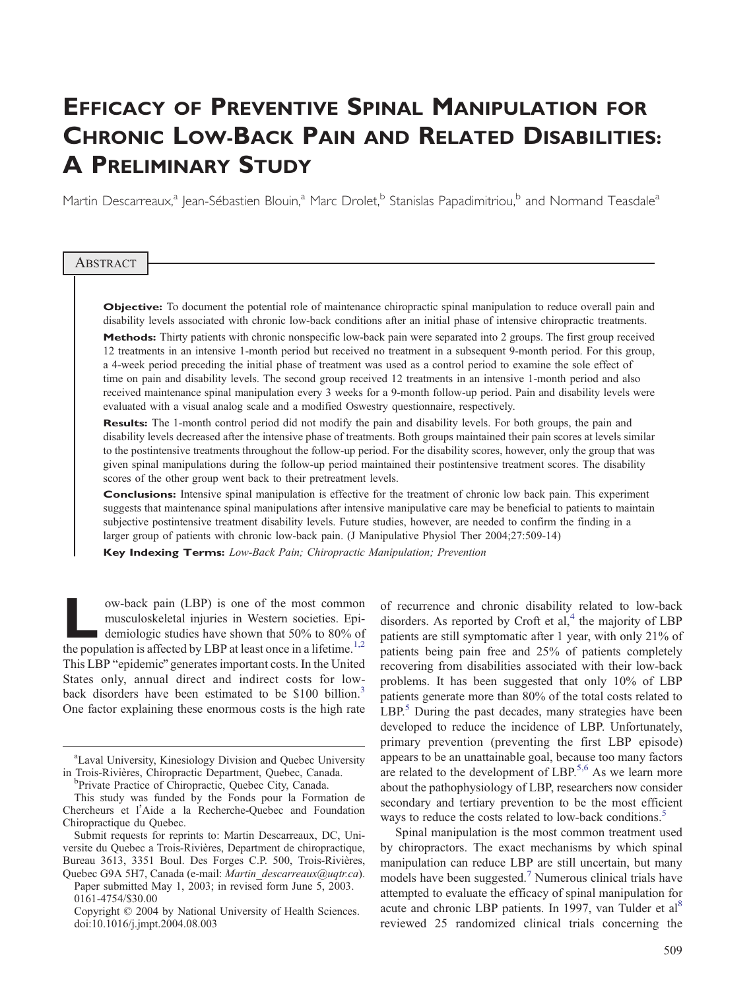# EFFICACY OF PREVENTIVE SPINAL MANIPULATION FOR CHRONIC LOW-BACK PAIN AND RELATED DISABILITIES: A PRELIMINARY STUDY

Martin Descarreaux,<sup>a</sup> Jean-Sébastien Blouin,<sup>a</sup> Marc Drolet,<sup>b</sup> Stanislas Papadimitriou,<sup>b</sup> and Normand Teasdale<sup>a</sup>

#### **ABSTRACT**

Objective: To document the potential role of maintenance chiropractic spinal manipulation to reduce overall pain and disability levels associated with chronic low-back conditions after an initial phase of intensive chiropractic treatments. Methods: Thirty patients with chronic nonspecific low-back pain were separated into 2 groups. The first group received 12 treatments in an intensive 1-month period but received no treatment in a subsequent 9-month period. For this group, a 4-week period preceding the initial phase of treatment was used as a control period to examine the sole effect of time on pain and disability levels. The second group received 12 treatments in an intensive 1-month period and also received maintenance spinal manipulation every 3 weeks for a 9-month follow-up period. Pain and disability levels were evaluated with a visual analog scale and a modified Oswestry questionnaire, respectively.

Results: The 1-month control period did not modify the pain and disability levels. For both groups, the pain and disability levels decreased after the intensive phase of treatments. Both groups maintained their pain scores at levels similar to the postintensive treatments throughout the follow-up period. For the disability scores, however, only the group that was given spinal manipulations during the follow-up period maintained their postintensive treatment scores. The disability scores of the other group went back to their pretreatment levels.

Conclusions: Intensive spinal manipulation is effective for the treatment of chronic low back pain. This experiment suggests that maintenance spinal manipulations after intensive manipulative care may be beneficial to patients to maintain subjective postintensive treatment disability levels. Future studies, however, are needed to confirm the finding in a larger group of patients with chronic low-back pain. (J Manipulative Physiol Ther 2004;27:509-14)

Key Indexing Terms: Low-Back Pain; Chiropractic Manipulation; Prevention

ow-back pain (LBP) is one of the most common<br>musculoskeletal injuries in Western societies. Epi-<br>demiologic studies have shown that 50% to 80% of<br>the nonulation is affected by LBP at least once in a lifetime.<sup>1,2</sup> musculoskeletal injuries in Western societies. Epidemiologic studies have shown that 50% to 80% of the population is affected by LBP at least once in a lifetime.<sup>1,2</sup> This LBP "epidemic" generates important costs. In the United States only, annual direct and indirect costs for lowback disorders have been estimated to be \$100 billion. 3 One factor explaining these enormous costs is the high rate

Paper submitted May 1, 2003; in revised form June 5, 2003. 0161-4754/\$30.00

of recurrence and chronic disability related to low-back disorders. As reported by Croft et  $al$ ,<sup>[4](#page-5-0)</sup> the majority of LBP patients are still symptomatic after 1 year, with only 21% of patients being pain free and 25% of patients [completely](#page-5-0) recovering from disabilities associated with their low-back problems. It has been suggested that only 10% of LBP patients [generate](#page-5-0) more than 80% of the total costs related to LBP.<sup>[5](#page-5-0)</sup> During the past decades, many strategies have been developed to reduce the incidence of LBP. Unfortunately, primary prevention (preventing the first LBP episode) appears to be an unattainable goal, because too many factors are related to the development of LBP.<sup>[5,6](#page-5-0)</sup> As we learn more about the pathophysiology of LBP, researchers now consider secondary and tertiary prevention to be the most efficient ways to reduce the costs related to low-back conditions.<sup>[5](#page-5-0)</sup>

Spinal manipulation is the most common treatment used by chiropractors. The exact mechanisms by which spinal manipulation can reduce LBP are still uncertain, but many models have been suggested.<sup>[7](#page-5-0)</sup> Numerous clinical trials have attempted to evaluate the efficacy of spinal manipulation for acute and chronic LBP patients. In 1997, van Tulder et al<sup>[8](#page-5-0)</sup> reviewed 25 randomized clinical trials concerning the

<sup>&</sup>lt;sup>a</sup>Laval University, Kinesiology Division and Quebec University in Trois-Rivières, Chiropractic Department, Quebec, Canada.

<sup>&</sup>lt;sup>b</sup>Private Practice of Chiropractic, Quebec City, Canada.

This study was funded by the Fonds pour la Formation de Chercheurs et l'Aide a la Recherche-Quebec and Foundation Chiropractique du Quebec.

Submit requests for reprints to: Martin Descarreaux, DC, Universite du Quebec a Trois-Rivières, Department de chiropractique, Bureau 3613, 3351 Boul. Des Forges C.P. 500, Trois-Rivières, Quebec G9A 5H7, Canada (e-mail: Martin\_descarreaux@uqtr.ca).

Copyright © 2004 by National University of Health Sciences. doi:10.1016/j.jmpt.2004.08.003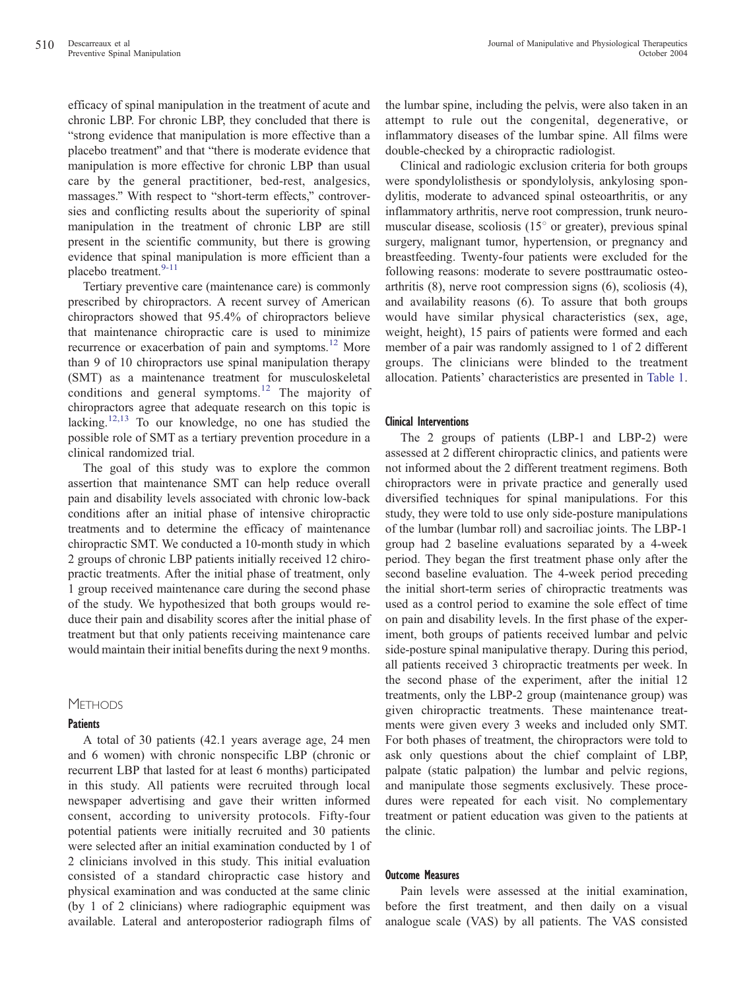efficacy of spinal manipulation in the treatment of acute and chronic LBP. For chronic LBP, they concluded that there is "strong evidence that manipulation is more effective than a placebo treatment" and that "there is moderate evidence that manipulation is more effective for chronic LBP than usual care by the general practitioner, bed-rest, analgesics, massages." With respect to "short-term effects," controversies and conflicting results about the superiority of spinal manipulation in the treatment of chronic LBP are still present in the scientific community, but there is growing evidence that spinal manipulation is more efficient than a placebo treatment.<sup>[9-11](#page-5-0)</sup>

Tertiary preventive care (maintenance care) is commonly prescribed by chiropractors. A recent survey of American chiropractors showed that 95.4% of chiropractors believe that maintenance chiropractic care is used to minimize recurrence or exacerbation of pain and symptoms.<sup>[12](#page-5-0)</sup> More than 9 of 10 chiropractors use spinal manipulation therapy (SMT) as a maintenance treatment for musculoskeletal conditions and general symptoms. [12](#page-5-0) The majority of chiropractors agree that adequate research on this topic is lacking.<sup>[12,13](#page-5-0)</sup> To our knowledge, no one has studied the possible role of SMT as a tertiary prevention procedure in a clinical randomized trial.

The goal of this study was to explore the common assertion that maintenance SMT can help reduce overall pain and disability levels associated with chronic low-back conditions after an initial phase of intensive chiropractic treatments and to determine the efficacy of maintenance chiropractic SMT. We conducted a 10-month study in which 2 groups of chronic LBP patients initially received 12 chiropractic treatments. After the initial phase of treatment, only 1 group received maintenance care during the second phase of the study. We hypothesized that both groups would reduce their pain and disability scores after the initial phase of treatment but that only patients receiving maintenance care would maintain their initial benefits during the next 9 months.

# **METHODS**

## **Patients**

A total of 30 patients (42.1 years average age, 24 men and 6 women) with chronic nonspecific LBP (chronic or recurrent LBP that lasted for at least 6 months) participated in this study. All patients were recruited through local newspaper advertising and gave their written informed consent, according to university protocols. Fifty-four potential patients were initially recruited and 30 patients were selected after an initial examination conducted by 1 of 2 clinicians involved in this study. This initial evaluation consisted of a standard chiropractic case history and physical examination and was conducted at the same clinic (by 1 of 2 clinicians) where radiographic equipment was available. Lateral and anteroposterior radiograph films of the lumbar spine, including the pelvis, were also taken in an attempt to rule out the congenital, degenerative, or inflammatory diseases of the lumbar spine. All films were double-checked by a chiropractic radiologist.

Clinical and radiologic exclusion criteria for both groups were spondylolisthesis or spondylolysis, ankylosing spondylitis, moderate to advanced spinal osteoarthritis, or any inflammatory arthritis, nerve root compression, trunk neuromuscular disease, scoliosis  $(15^{\circ}$  or greater), previous spinal surgery, malignant tumor, hypertension, or pregnancy and breastfeeding. Twenty-four patients were excluded for the following reasons: moderate to severe posttraumatic osteoarthritis (8), nerve root compression signs (6), scoliosis (4), and availability reasons (6). To assure that both groups would have similar physical characteristics (sex, age, weight, height), 15 pairs of patients were formed and each member of a pair was randomly assigned to 1 of 2 different groups. The clinicians were blinded to the treatment allocation. Patients' characteristics are presented in [Table](#page-2-0) 1.

## Clinical Interventions

The 2 groups of patients (LBP-1 and LBP-2) were assessed at 2 different chiropractic clinics, and patients were not informed about the 2 different treatment regimens. Both chiropractors were in private practice and generally used diversified techniques for spinal manipulations. For this study, they were told to use only side-posture manipulations of the lumbar (lumbar roll) and sacroiliac joints. The LBP-1 group had 2 baseline evaluations separated by a 4-week period. They began the first treatment phase only after the second baseline evaluation. The 4-week period preceding the initial short-term series of chiropractic treatments was used as a control period to examine the sole effect of time on pain and disability levels. In the first phase of the experiment, both groups of patients received lumbar and pelvic side-posture spinal manipulative therapy. During this period, all patients received 3 chiropractic treatments per week. In the second phase of the experiment, after the initial 12 treatments, only the LBP-2 group (maintenance group) was given chiropractic treatments. These maintenance treatments were given every 3 weeks and included only SMT. For both phases of treatment, the chiropractors were told to ask only questions about the chief complaint of LBP, palpate (static palpation) the lumbar and pelvic regions, and manipulate those segments exclusively. These procedures were repeated for each visit. No complementary treatment or patient education was given to the patients at the clinic.

## Outcome Measures

Pain levels were assessed at the initial examination, before the first treatment, and then daily on a visual analogue scale (VAS) by all patients. The VAS consisted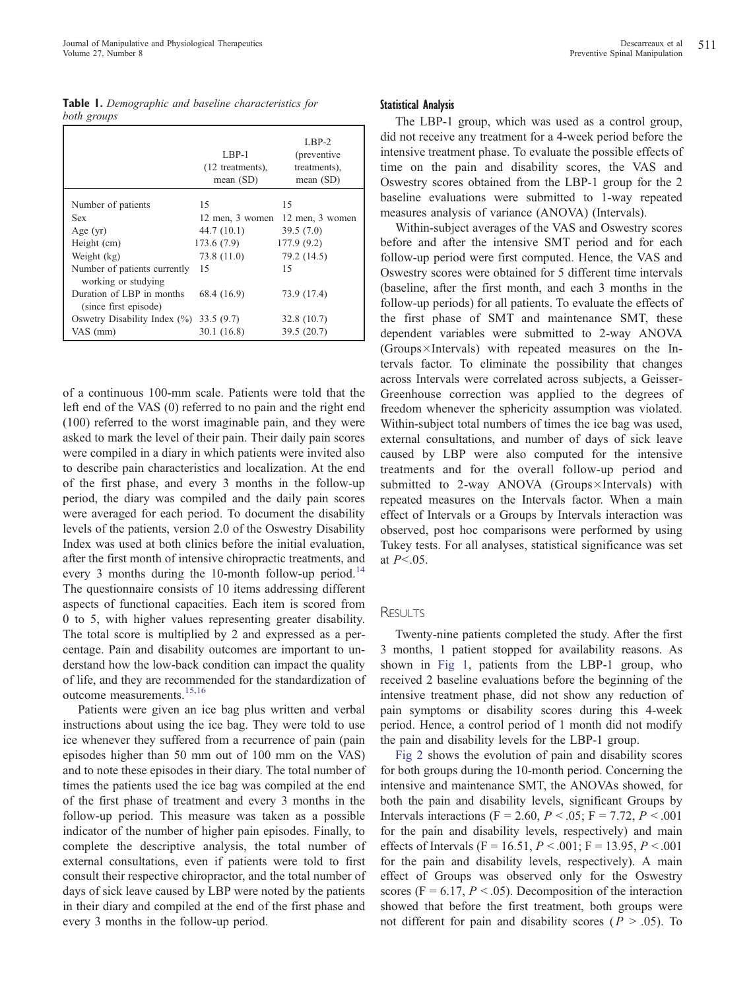<span id="page-2-0"></span>

| Table 1. Demographic and baseline characteristics for |  |  |
|-------------------------------------------------------|--|--|
| both groups                                           |  |  |

|                                                     | $LBP-1$<br>(12 treatments),<br>mean $(SD)$ | LBP-2<br>(preventive)<br>treatments),<br>mean $(SD)$ |  |
|-----------------------------------------------------|--------------------------------------------|------------------------------------------------------|--|
| Number of patients                                  | 15                                         | 15                                                   |  |
| <b>Sex</b>                                          | 12 men, 3 women                            | 12 men, 3 women                                      |  |
| Age $(yr)$                                          | 44.7(10.1)                                 | 39.5(7.0)                                            |  |
| Height (cm)                                         | 173.6(7.9)                                 | 177.9 (9.2)                                          |  |
| Weight (kg)                                         | 73.8 (11.0)                                | 79.2 (14.5)                                          |  |
| Number of patients currently<br>working or studying | 15                                         | 15                                                   |  |
| Duration of LBP in months<br>(since first episode)  | 68.4 (16.9)                                | 73.9 (17.4)                                          |  |
| Oswetry Disability Index $(\%)$                     | 33.5(9.7)                                  | 32.8 (10.7)                                          |  |
| VAS (mm)                                            | 30.1 (16.8)                                | 39.5(20.7)                                           |  |

of a continuous 100-mm scale. Patients were told that the left end of the VAS (0) referred to no pain and the right end (100) referred to the worst imaginable pain, and they were asked to mark the level of their pain. Their daily pain scores were compiled in a diary in which patients were invited also to describe pain characteristics and localization. At the end of the first phase, and every 3 months in the follow-up period, the diary was compiled and the daily pain scores were averaged for each period. To document the disability levels of the patients, version 2.0 of the Oswestry Disability Index was used at both clinics before the initial evaluation, after the first month of intensive chiropractic treatments, and every 3 months during the 10-month follow-up period.<sup>[14](#page-5-0)</sup> The questionnaire consists of 10 items addressing different aspects of functional capacities. Each item is scored from 0 to 5, with higher values representing greater disability. The total score is multiplied by 2 and expressed as a percentage. Pain and disability outcomes are important to understand how the low-back condition can impact the quality of life, and they are recommended for the standardization of outcome measurements.[15,16](#page-5-0)

Patients were given an ice bag plus written and verbal instructions about using the ice bag. They were told to use ice whenever they suffered from a recurrence of pain (pain episodes higher than 50 mm out of 100 mm on the VAS) and to note these episodes in their diary. The total number of times the patients used the ice bag was compiled at the end of the first phase of treatment and every 3 months in the follow-up period. This measure was taken as a possible indicator of the number of higher pain episodes. Finally, to complete the descriptive analysis, the total number of external consultations, even if patients were told to first consult their respective chiropractor, and the total number of days of sick leave caused by LBP were noted by the patients in their diary and compiled at the end of the first phase and every 3 months in the follow-up period.

#### Statistical Analysis

The LBP-1 group, which was used as a control group, did not receive any treatment for a 4-week period before the intensive treatment phase. To evaluate the possible effects of time on the pain and disability scores, the VAS and Oswestry scores obtained from the LBP-1 group for the 2 baseline evaluations were submitted to 1-way repeated measures analysis of variance (ANOVA) (Intervals).

Within-subject averages of the VAS and Oswestry scores before and after the intensive SMT period and for each follow-up period were first computed. Hence, the VAS and Oswestry scores were obtained for 5 different time intervals (baseline, after the first month, and each 3 months in the follow-up periods) for all patients. To evaluate the effects of the first phase of SMT and maintenance SMT, these dependent variables were submitted to 2-way ANOVA  $(Groups \times Intervals)$  with repeated measures on the Intervals factor. To eliminate the possibility that changes across Intervals were correlated across subjects, a Geisser-Greenhouse correction was applied to the degrees of freedom whenever the sphericity assumption was violated. Within-subject total numbers of times the ice bag was used, external consultations, and number of days of sick leave caused by LBP were also computed for the intensive treatments and for the overall follow-up period and submitted to 2-way ANOVA (Groups $\times$ Intervals) with repeated measures on the Intervals factor. When a main effect of Intervals or a Groups by Intervals interaction was observed, post hoc comparisons were performed by using Tukey tests. For all analyses, statistical significance was set at  $P<.05$ .

#### **RESULTS**

Twenty-nine patients completed the study. After the first 3 months, 1 patient stopped for availability reasons. As shown in [Fig](#page-3-0) 1, patients from the LBP-1 group, who received 2 baseline evaluations before the beginning of the intensive treatment phase, did not show any reduction of pain symptoms or disability scores during this 4-week period. Hence, a control period of 1 month did not modify the pain and disability levels for the LBP-1 group.

[Fig](#page-3-0) 2 shows the evolution of pain and disability scores for both groups during the 10-month period. Concerning the intensive and maintenance SMT, the ANOVAs showed, for both the pain and disability levels, significant Groups by Intervals interactions (F = 2.60, P < .05; F = 7.72, P < .001 for the pain and disability levels, respectively) and main effects of Intervals (F = 16.51,  $P < .001$ ; F = 13.95,  $P < .001$ for the pain and disability levels, respectively). A main effect of Groups was observed only for the Oswestry scores (F = 6.17,  $P < .05$ ). Decomposition of the interaction showed that before the first treatment, both groups were not different for pain and disability scores ( $P > .05$ ). To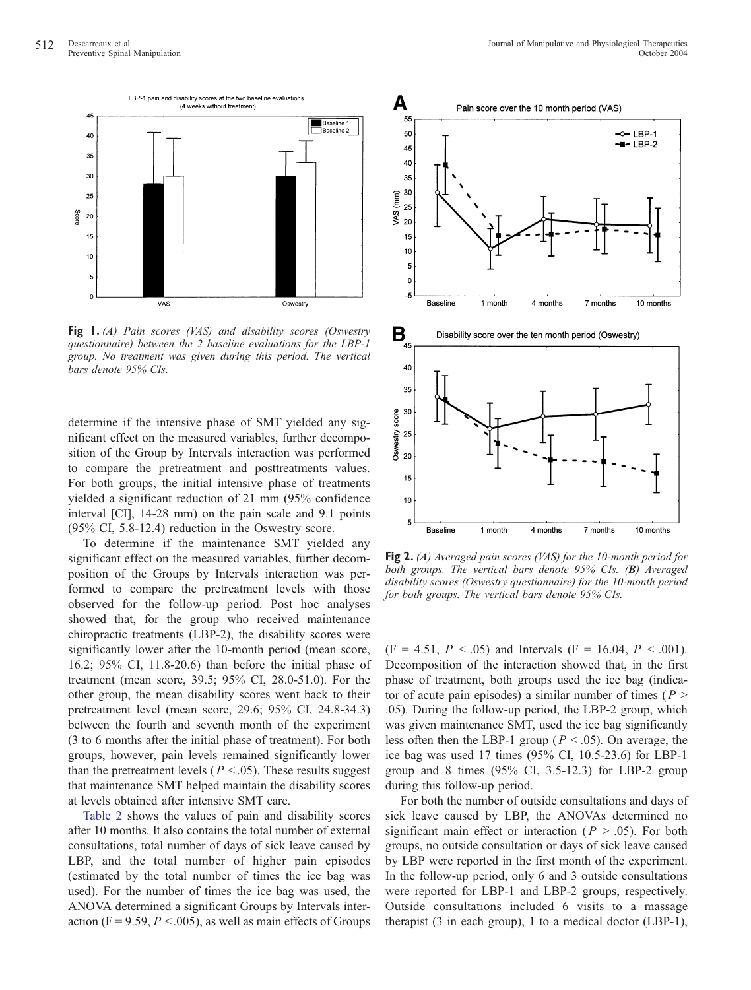<span id="page-3-0"></span>

Fig 1. (A) Pain scores (VAS) and disability scores (Oswestry questionnaire) between the 2 baseline evaluations for the LBP-1 group. No treatment was given during this period. The vertical bars denote 95% CIs.

determine if the intensive phase of SMT yielded any significant effect on the measured variables, further decomposition of the Group by Intervals interaction was performed to compare the pretreatment and posttreatments values. For both groups, the initial intensive phase of treatments yielded a significant reduction of 21 mm (95% confidence interval [CI], 14-28 mm) on the pain scale and 9.1 points (95% CI, 5.8-12.4) reduction in the Oswestry score.

To determine if the maintenance SMT yielded any significant effect on the measured variables, further decomposition of the Groups by Intervals interaction was performed to compare the pretreatment levels with those observed for the follow-up period. Post hoc analyses showed that, for the group who received maintenance chiropractic treatments (LBP-2), the disability scores were significantly lower after the 10-month period (mean score, 16.2; 95% CI, 11.8-20.6) than before the initial phase of treatment (mean score, 39.5; 95% CI, 28.0-51.0). For the other group, the mean disability scores went back to their pretreatment level (mean score, 29.6; 95% CI, 24.8-34.3) between the fourth and seventh month of the experiment (3 to 6 months after the initial phase of treatment). For both groups, however, pain levels remained significantly lower than the pretreatment levels ( $P < .05$ ). These results suggest that maintenance SMT helped maintain the disability scores at levels obtained after intensive SMT care.

[Table](#page-4-0) 2 shows the values of pain and disability scores after 10 months. It also contains the total number of external consultations, total number of days of sick leave caused by LBP, and the total number of higher pain episodes (estimated by the total number of times the ice bag was used). For the number of times the ice bag was used, the ANOVA determined a significant Groups by Intervals interaction (F = 9.59,  $P < .005$ ), as well as main effects of Groups



Fig 2. (A) Averaged pain scores (VAS) for the 10-month period for both groups. The vertical bars denote 95% CIs. (B) Averaged disability scores (Oswestry questionnaire) for the 10-month period for both groups. The vertical bars denote 95% CIs.

 $(F = 4.51, P < .05)$  and Intervals  $(F = 16.04, P < .001)$ . Decomposition of the interaction showed that, in the first phase of treatment, both groups used the ice bag (indicator of acute pain episodes) a similar number of times ( $P >$ .05). During the follow-up period, the LBP-2 group, which was given maintenance SMT, used the ice bag significantly less often then the LBP-1 group ( $P < .05$ ). On average, the ice bag was used 17 times (95% CI, 10.5-23.6) for LBP-1 group and 8 times (95% CI, 3.5-12.3) for LBP-2 group during this follow-up period.

For both the number of outside consultations and days of sick leave caused by LBP, the ANOVAs determined no significant main effect or interaction ( $P > .05$ ). For both groups, no outside consultation or days of sick leave caused by LBP were reported in the first month of the experiment. In the follow-up period, only 6 and 3 outside consultations were reported for LBP-1 and LBP-2 groups, respectively. Outside consultations included 6 visits to a massage therapist (3 in each group), 1 to a medical doctor (LBP-1),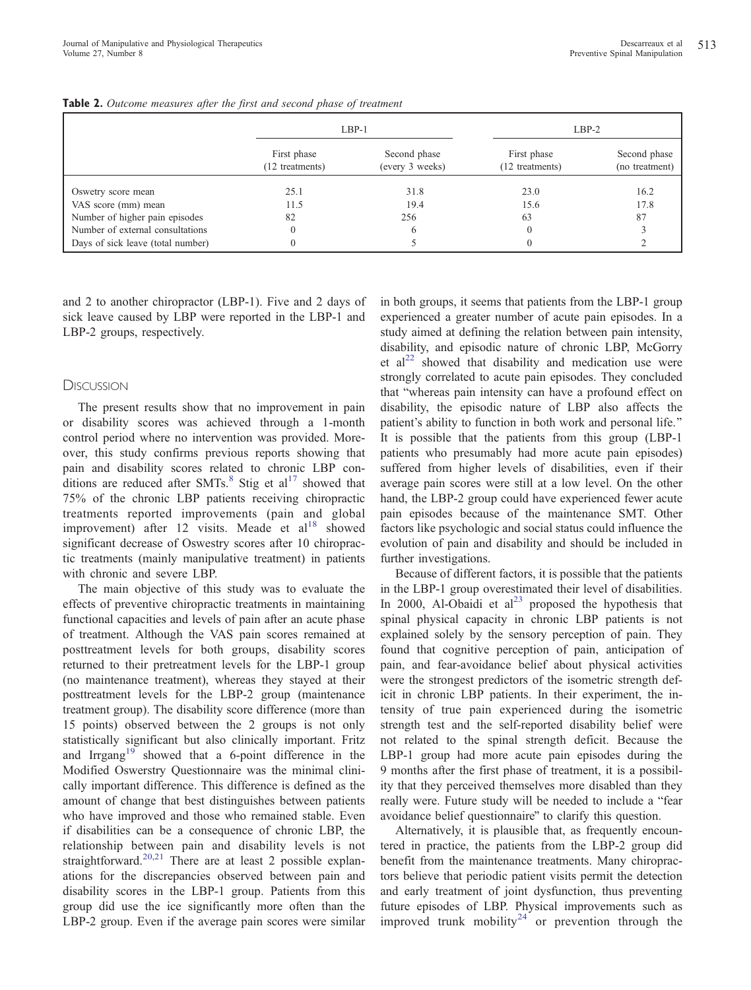|                                   | $LBP-1$                       |                                 |                                | $LBP-2$                        |  |
|-----------------------------------|-------------------------------|---------------------------------|--------------------------------|--------------------------------|--|
|                                   | First phase<br>12 treatments) | Second phase<br>(every 3 weeks) | First phase<br>(12 treatments) | Second phase<br>(no treatment) |  |
| Oswetry score mean                | 25.1                          | 31.8                            | 23.0                           | 16.2                           |  |
| VAS score (mm) mean               | 11.5                          | 19.4                            | 15.6                           | 17.8                           |  |
| Number of higher pain episodes    | 82                            | 256                             | 63                             | 87                             |  |
| Number of external consultations  |                               | 6                               |                                |                                |  |
| Days of sick leave (total number) |                               |                                 |                                |                                |  |

<span id="page-4-0"></span>Table 2. Outcome measures after the first and second phase of treatment

and 2 to another chiropractor (LBP-1). Five and 2 days of sick leave caused by LBP were reported in the LBP-1 and LBP-2 groups, respectively.

# DISCUSSION

The present results show that no improvement in pain or disability scores was achieved through a 1-month control period where no intervention was provided. Moreover, this study confirms previous reports showing that pain and disability scores related to chronic LBP conditions are reduced after  $SMTs$ .<sup>[8](#page-5-0)</sup> Stig et al<sup>[17](#page-5-0)</sup> showed that 75% of the chronic LBP patients receiving chiropractic treatments reported improvements (pain and global improvement) after 12 visits. Meade et al<sup>[18](#page-5-0)</sup> showed significant decrease of Oswestry scores after 10 chiropractic treatments (mainly manipulative treatment) in patients with chronic and severe LBP.

The main objective of this study was to evaluate the effects of preventive chiropractic treatments in maintaining functional capacities and levels of pain after an acute phase of treatment. Although the VAS pain scores remained at posttreatment levels for both groups, disability scores returned to their pretreatment levels for the LBP-1 group (no maintenance treatment), whereas they stayed at their posttreatment levels for the LBP-2 group (maintenance treatment group). The disability score difference (more than 15 points) observed between the 2 groups is not only statistically significant but also clinically important. Fritz and Irrgang<sup>[19](#page-5-0)</sup> showed that a 6-point difference in the Modified Oswerstry Questionnaire was the minimal clinically important difference. This difference is defined as the amount of change that best distinguishes between patients who have improved and those who remained stable. Even if disabilities can be a consequence of chronic LBP, the relationship between pain and disability levels is not straightforward.<sup>[20,21](#page-5-0)</sup> There are at least 2 possible explanations for the discrepancies observed between pain and disability scores in the LBP-1 group. Patients from this group did use the ice significantly more often than the LBP-2 group. Even if the average pain scores were similar

in both groups, it seems that patients from the LBP-1 group experienced a greater number of acute pain episodes. In a study aimed at defining the relation between pain intensity, disability, and episodic nature of chronic LBP, McGorry et  $al^{22}$  $al^{22}$  $al^{22}$  showed that disability and medication use were strongly correlated to acute pain episodes. They concluded that "whereas pain intensity can have a profound effect on disability, the episodic nature of LBP also affects the patient's ability to function in both work and personal life.'' It is possible that the patients from this group (LBP-1 patients who presumably had more acute pain episodes) suffered from higher levels of disabilities, even if their average pain scores were still at a low level. On the other hand, the LBP-2 group could have experienced fewer acute pain episodes because of the maintenance SMT. Other factors like psychologic and social status could influence the evolution of pain and disability and should be included in further investigations.

Because of different factors, it is possible that the patients in the LBP-1 group overestimated their level of disabilities. In 2000, Al-Obaidi et  $al^{23}$  $al^{23}$  $al^{23}$  proposed the hypothesis that spinal physical capacity in chronic LBP patients is not explained solely by the sensory perception of pain. They found that cognitive perception of pain, anticipation of pain, and fear-avoidance belief about physical activities were the strongest predictors of the isometric strength deficit in chronic LBP patients. In their experiment, the intensity of true pain experienced during the isometric strength test and the self-reported disability belief were not related to the spinal strength deficit. Because the LBP-1 group had more acute pain episodes during the 9 months after the first phase of treatment, it is a possibility that they perceived themselves more disabled than they really were. Future study will be needed to include a "fear avoidance belief questionnaire" to clarify this question.

Alternatively, it is plausible that, as frequently encountered in practice, the patients from the LBP-2 group did benefit from the maintenance treatments. Many chiropractors believe that periodic patient visits permit the detection and early treatment of joint dysfunction, thus preventing future episodes of LBP. Physical improvements such as improved trunk mobility<sup>[24](#page-5-0)</sup> or prevention through the